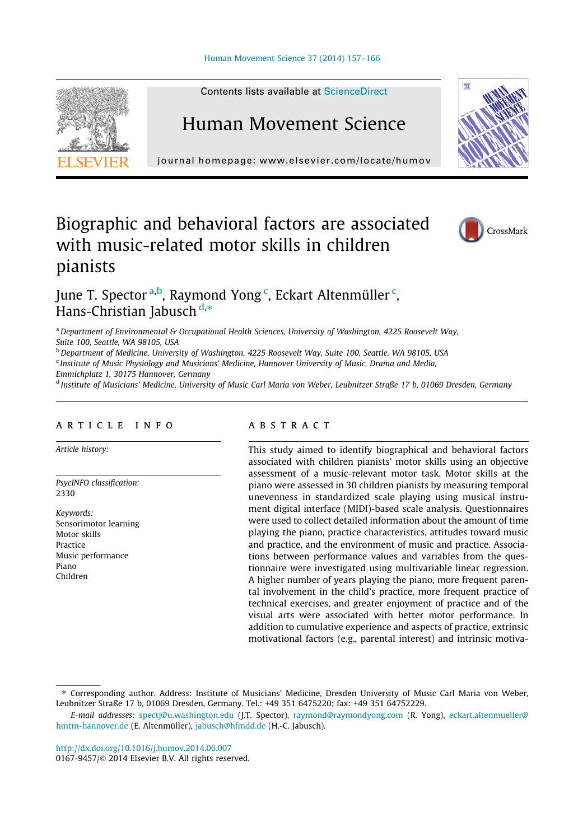

Contents lists available at [ScienceDirect](http://www.sciencedirect.com/science/journal/01679457)

# Human Movement Science

journal homepage: [www.elsevier.com/locate/humov](http://www.elsevier.com/locate/humov)

# Biographic and behavioral factors are associated with music-related motor skills in children pianists



# June T. Spector <sup>a,b</sup>, Raymond Yong <sup>c</sup>, Eckart Altenmüller <sup>c</sup>, Hans-Christian Jabusch<sup>d,\*</sup>

a Department of Environmental & Occupational Health Sciences, University of Washington, 4225 Roosevelt Way, Suite 100, Seattle, WA 98105, USA

 $^{\rm b}$  Department of Medicine, University of Washington, 4225 Roosevelt Way, Suite 100, Seattle, WA 98105, USA

<sup>c</sup> Institute of Music Physiology and Musicians' Medicine, Hannover University of Music, Drama and Media, Emmichplatz 1, 30175 Hannover, Germany

<sup>d</sup> Institute of Musicians' Medicine, University of Music Carl Maria von Weber, Leubnitzer Straße 17 b, 01069 Dresden, Germany

#### article info

Article history:

PsycINFO classification: 2330

Keywords: Sensorimotor learning Motor skills Practice Music performance Piano Children

#### **ABSTRACT**

This study aimed to identify biographical and behavioral factors associated with children pianists' motor skills using an objective assessment of a music-relevant motor task. Motor skills at the piano were assessed in 30 children pianists by measuring temporal unevenness in standardized scale playing using musical instrument digital interface (MIDI)-based scale analysis. Questionnaires were used to collect detailed information about the amount of time playing the piano, practice characteristics, attitudes toward music and practice, and the environment of music and practice. Associations between performance values and variables from the questionnaire were investigated using multivariable linear regression. A higher number of years playing the piano, more frequent parental involvement in the child's practice, more frequent practice of technical exercises, and greater enjoyment of practice and of the visual arts were associated with better motor performance. In addition to cumulative experience and aspects of practice, extrinsic motivational factors (e.g., parental interest) and intrinsic motiva-

<http://dx.doi.org/10.1016/j.humov.2014.06.007>

0167-9457/© 2014 Elsevier B.V. All rights reserved.

<sup>⇑</sup> Corresponding author. Address: Institute of Musicians' Medicine, Dresden University of Music Carl Maria von Weber, Leubnitzer Straße 17 b, 01069 Dresden, Germany. Tel.: +49 351 6475220; fax: +49 351 64752229.

E-mail addresses: [spectj@u.washington.edu](mailto:spectj@u.washington.edu) (J.T. Spector), [raymond@raymondyong.com](mailto:raymond@raymondyong.com) (R. Yong), [eckart.altenmueller@](mailto:eckart.altenmueller@hmtm-hannover.de) [hmtm-hannover.de](mailto:eckart.altenmueller@hmtm-hannover.de) (E. Altenmüller), [jabusch@hfmdd.de](mailto:jabusch@hfmdd.de) (H.-C. Jabusch).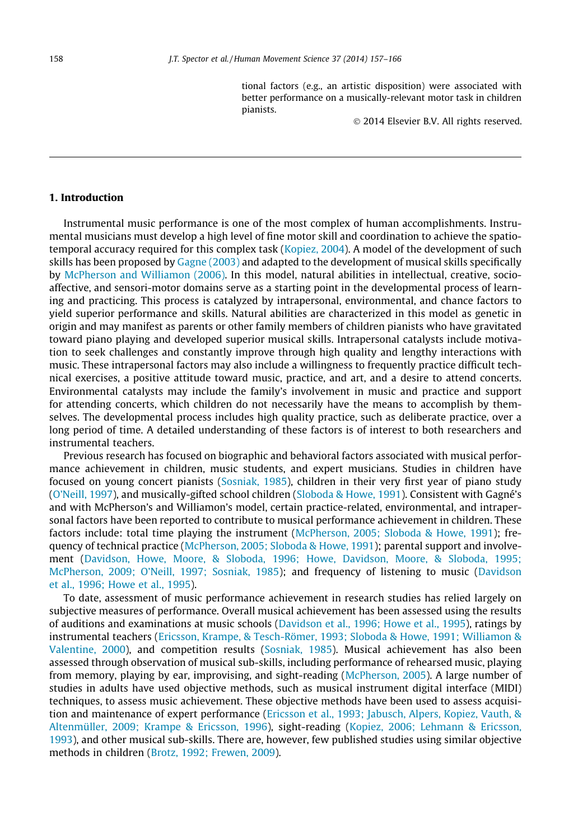tional factors (e.g., an artistic disposition) were associated with better performance on a musically-relevant motor task in children pianists.

© 2014 Elsevier B.V. All rights reserved.

# 1. Introduction

Instrumental music performance is one of the most complex of human accomplishments. Instrumental musicians must develop a high level of fine motor skill and coordination to achieve the spatiotemporal accuracy required for this complex task [\(Kopiez, 2004\)](#page-9-0). A model of the development of such skills has been proposed by [Gagne \(2003\)](#page-8-0) and adapted to the development of musical skills specifically by [McPherson and Williamon \(2006\)](#page-9-0). In this model, natural abilities in intellectual, creative, socioaffective, and sensori-motor domains serve as a starting point in the developmental process of learning and practicing. This process is catalyzed by intrapersonal, environmental, and chance factors to yield superior performance and skills. Natural abilities are characterized in this model as genetic in origin and may manifest as parents or other family members of children pianists who have gravitated toward piano playing and developed superior musical skills. Intrapersonal catalysts include motivation to seek challenges and constantly improve through high quality and lengthy interactions with music. These intrapersonal factors may also include a willingness to frequently practice difficult technical exercises, a positive attitude toward music, practice, and art, and a desire to attend concerts. Environmental catalysts may include the family's involvement in music and practice and support for attending concerts, which children do not necessarily have the means to accomplish by themselves. The developmental process includes high quality practice, such as deliberate practice, over a long period of time. A detailed understanding of these factors is of interest to both researchers and instrumental teachers.

Previous research has focused on biographic and behavioral factors associated with musical performance achievement in children, music students, and expert musicians. Studies in children have focused on young concert pianists [\(Sosniak, 1985](#page-9-0)), children in their very first year of piano study ([O'Neill, 1997](#page-9-0)), and musically-gifted school children [\(Sloboda & Howe, 1991](#page-9-0)). Consistent with Gagné's and with McPherson's and Williamon's model, certain practice-related, environmental, and intrapersonal factors have been reported to contribute to musical performance achievement in children. These factors include: total time playing the instrument [\(McPherson, 2005; Sloboda & Howe, 1991\)](#page-9-0); frequency of technical practice ([McPherson, 2005; Sloboda & Howe, 1991](#page-9-0)); parental support and involvement [\(Davidson, Howe, Moore, & Sloboda, 1996; Howe, Davidson, Moore, & Sloboda, 1995;](#page-8-0) [McPherson, 2009; O'Neill, 1997; Sosniak, 1985](#page-8-0)); and frequency of listening to music [\(Davidson](#page-8-0) [et al., 1996; Howe et al., 1995](#page-8-0)).

To date, assessment of music performance achievement in research studies has relied largely on subjective measures of performance. Overall musical achievement has been assessed using the results of auditions and examinations at music schools ([Davidson et al., 1996; Howe et al., 1995](#page-8-0)), ratings by instrumental teachers [\(Ericsson, Krampe, & Tesch-Römer, 1993; Sloboda & Howe, 1991; Williamon &](#page-8-0) [Valentine, 2000\)](#page-8-0), and competition results [\(Sosniak, 1985\)](#page-9-0). Musical achievement has also been assessed through observation of musical sub-skills, including performance of rehearsed music, playing from memory, playing by ear, improvising, and sight-reading ([McPherson, 2005](#page-9-0)). A large number of studies in adults have used objective methods, such as musical instrument digital interface (MIDI) techniques, to assess music achievement. These objective methods have been used to assess acquisi-tion and maintenance of expert performance [\(Ericsson et al., 1993; Jabusch, Alpers, Kopiez, Vauth, &](#page-8-0) [Altenmüller, 2009; Krampe & Ericsson, 1996\)](#page-8-0), sight-reading [\(Kopiez, 2006; Lehmann & Ericsson,](#page-9-0) [1993\)](#page-9-0), and other musical sub-skills. There are, however, few published studies using similar objective methods in children [\(Brotz, 1992; Frewen, 2009\)](#page-8-0).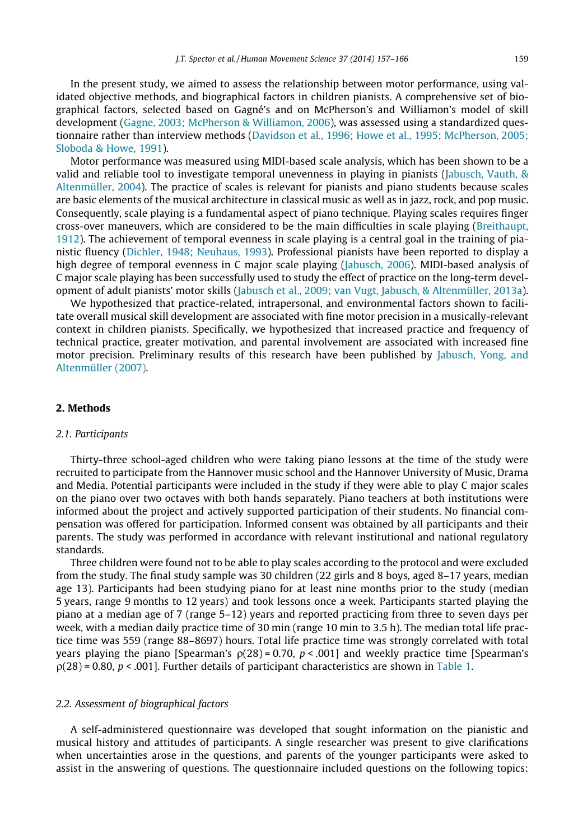In the present study, we aimed to assess the relationship between motor performance, using validated objective methods, and biographical factors in children pianists. A comprehensive set of biographical factors, selected based on Gagné's and on McPherson's and Williamon's model of skill development [\(Gagne, 2003; McPherson & Williamon, 2006](#page-8-0)), was assessed using a standardized questionnaire rather than interview methods [\(Davidson et al., 1996; Howe et al., 1995; McPherson, 2005;](#page-8-0) [Sloboda & Howe, 1991\)](#page-8-0).

Motor performance was measured using MIDI-based scale analysis, which has been shown to be a valid and reliable tool to investigate temporal unevenness in playing in pianists ([Jabusch, Vauth, &](#page-9-0) [Altenmüller, 2004](#page-9-0)). The practice of scales is relevant for pianists and piano students because scales are basic elements of the musical architecture in classical music as well as in jazz, rock, and pop music. Consequently, scale playing is a fundamental aspect of piano technique. Playing scales requires finger cross-over maneuvers, which are considered to be the main difficulties in scale playing ([Breithaupt,](#page-8-0) [1912](#page-8-0)). The achievement of temporal evenness in scale playing is a central goal in the training of pianistic fluency ([Dichler, 1948; Neuhaus, 1993\)](#page-8-0). Professional pianists have been reported to display a high degree of temporal evenness in C major scale playing [\(Jabusch, 2006](#page-9-0)). MIDI-based analysis of C major scale playing has been successfully used to study the effect of practice on the long-term development of adult pianists' motor skills ([Jabusch et al., 2009; van Vugt, Jabusch, & Altenmüller, 2013a\)](#page-8-0).

We hypothesized that practice-related, intrapersonal, and environmental factors shown to facilitate overall musical skill development are associated with fine motor precision in a musically-relevant context in children pianists. Specifically, we hypothesized that increased practice and frequency of technical practice, greater motivation, and parental involvement are associated with increased fine motor precision. Preliminary results of this research have been published by [Jabusch, Yong, and](#page-9-0) [Altenmüller \(2007\)](#page-9-0).

#### 2. Methods

#### 2.1. Participants

Thirty-three school-aged children who were taking piano lessons at the time of the study were recruited to participate from the Hannover music school and the Hannover University of Music, Drama and Media. Potential participants were included in the study if they were able to play C major scales on the piano over two octaves with both hands separately. Piano teachers at both institutions were informed about the project and actively supported participation of their students. No financial compensation was offered for participation. Informed consent was obtained by all participants and their parents. The study was performed in accordance with relevant institutional and national regulatory standards.

Three children were found not to be able to play scales according to the protocol and were excluded from the study. The final study sample was 30 children (22 girls and 8 boys, aged 8–17 years, median age 13). Participants had been studying piano for at least nine months prior to the study (median 5 years, range 9 months to 12 years) and took lessons once a week. Participants started playing the piano at a median age of 7 (range 5–12) years and reported practicing from three to seven days per week, with a median daily practice time of 30 min (range 10 min to 3.5 h). The median total life practice time was 559 (range 88–8697) hours. Total life practice time was strongly correlated with total years playing the piano [Spearman's  $p(28) = 0.70$ ,  $p < .001$ ] and weekly practice time [Spearman's  $p(28) = 0.80$ , p < .001]. Further details of participant characteristics are shown in [Table 1.](#page-3-0)

### 2.2. Assessment of biographical factors

A self-administered questionnaire was developed that sought information on the pianistic and musical history and attitudes of participants. A single researcher was present to give clarifications when uncertainties arose in the questions, and parents of the younger participants were asked to assist in the answering of questions. The questionnaire included questions on the following topics: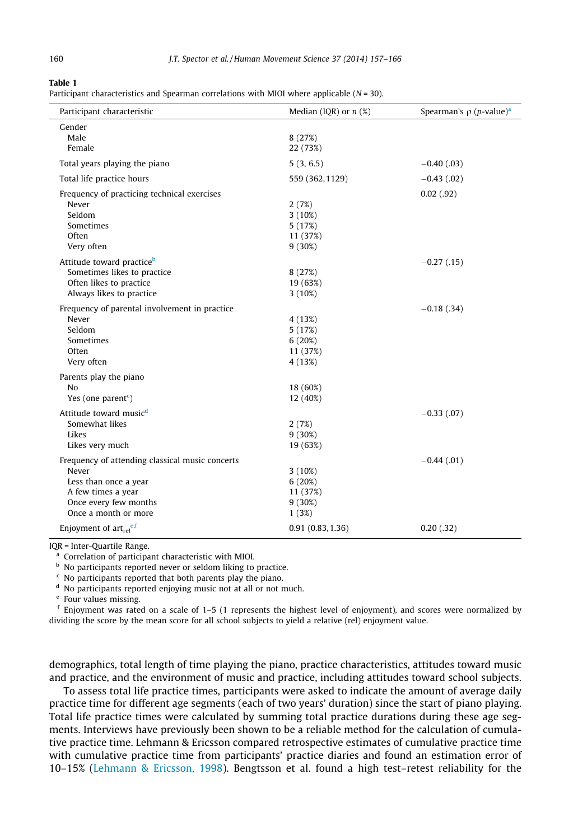#### <span id="page-3-0"></span>Table 1

Participant characteristics and Spearman correlations with MIOI where applicable  $(N = 30)$ .

| Participant characteristic                                                                                                                                                                          | Median (IQR) or $n$ (%)                                                | Spearman's $\rho$ ( <i>p</i> -value) <sup>a</sup> |
|-----------------------------------------------------------------------------------------------------------------------------------------------------------------------------------------------------|------------------------------------------------------------------------|---------------------------------------------------|
| Gender<br>Male<br>Female                                                                                                                                                                            | 8(27%)<br>22 (73%)                                                     |                                                   |
| Total years playing the piano                                                                                                                                                                       | 5(3, 6.5)                                                              | $-0.40$ (.03)                                     |
| Total life practice hours                                                                                                                                                                           | 559 (362,1129)                                                         | $-0.43$ (.02)                                     |
| Frequency of practicing technical exercises<br>Never<br>Seldom<br>Sometimes<br>Often<br>Very often                                                                                                  | 2(7%)<br>$3(10\%)$<br>5(17%)<br>11 (37%)<br>9(30%)                     | 0.02(.92)                                         |
| Attitude toward practiceb<br>Sometimes likes to practice<br>Often likes to practice<br>Always likes to practice                                                                                     | 8(27%)<br>19 (63%)<br>$3(10\%)$                                        | $-0.27(0.15)$                                     |
| Frequency of parental involvement in practice<br>Never<br>Seldom<br>Sometimes<br>Often<br>Very often                                                                                                | 4 (13%)<br>5(17%)<br>6(20%)<br>11 (37%)<br>4 (13%)                     | $-0.18$ (.34)                                     |
| Parents play the piano<br>N <sub>o</sub><br>Yes (one parent <sup>c</sup> )                                                                                                                          | 18 (60%)<br>12 (40%)                                                   |                                                   |
| Attitude toward music <sup>d</sup><br>Somewhat likes<br>Likes<br>Likes very much                                                                                                                    | 2(7%)<br>9(30%)<br>19 (63%)                                            | $-0.33$ (.07)                                     |
| Frequency of attending classical music concerts<br>Never<br>Less than once a year<br>A few times a year<br>Once every few months<br>Once a month or more<br>Enjoyment of $art_{rel}$ <sup>e,f</sup> | $3(10\%)$<br>6(20%)<br>11 (37%)<br>9(30%)<br>1(3%)<br>0.91(0.83, 1.36) | $-0.44$ (.01)<br>0.20(0.32)                       |

IQR = Inter-Quartile Range.

<sup>a</sup> Correlation of participant characteristic with MIOI.

**b** No participants reported never or seldom liking to practice.

<sup>c</sup> No participants reported that both parents play the piano.

<sup>d</sup> No participants reported enjoying music not at all or not much.

<sup>e</sup> Four values missing.

Enjoyment was rated on a scale of 1-5 (1 represents the highest level of enjoyment), and scores were normalized by dividing the score by the mean score for all school subjects to yield a relative (rel) enjoyment value.

demographics, total length of time playing the piano, practice characteristics, attitudes toward music and practice, and the environment of music and practice, including attitudes toward school subjects.

To assess total life practice times, participants were asked to indicate the amount of average daily practice time for different age segments (each of two years' duration) since the start of piano playing. Total life practice times were calculated by summing total practice durations during these age segments. Interviews have previously been shown to be a reliable method for the calculation of cumulative practice time. Lehmann & Ericsson compared retrospective estimates of cumulative practice time with cumulative practice time from participants' practice diaries and found an estimation error of 10–15% ([Lehmann & Ericsson, 1998](#page-9-0)). Bengtsson et al. found a high test–retest reliability for the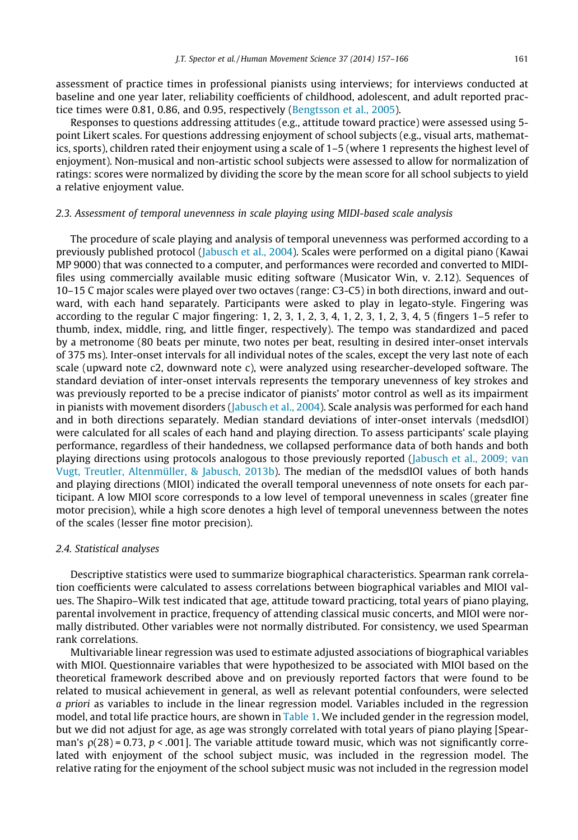assessment of practice times in professional pianists using interviews; for interviews conducted at baseline and one year later, reliability coefficients of childhood, adolescent, and adult reported practice times were 0.81, 0.86, and 0.95, respectively ([Bengtsson et al., 2005\)](#page-8-0).

Responses to questions addressing attitudes (e.g., attitude toward practice) were assessed using 5 point Likert scales. For questions addressing enjoyment of school subjects (e.g., visual arts, mathematics, sports), children rated their enjoyment using a scale of 1–5 (where 1 represents the highest level of enjoyment). Non-musical and non-artistic school subjects were assessed to allow for normalization of ratings: scores were normalized by dividing the score by the mean score for all school subjects to yield a relative enjoyment value.

## 2.3. Assessment of temporal unevenness in scale playing using MIDI-based scale analysis

The procedure of scale playing and analysis of temporal unevenness was performed according to a previously published protocol ([Jabusch et al., 2004\)](#page-9-0). Scales were performed on a digital piano (Kawai MP 9000) that was connected to a computer, and performances were recorded and converted to MIDIfiles using commercially available music editing software (Musicator Win, v. 2.12). Sequences of 10–15 C major scales were played over two octaves (range: C3-C5) in both directions, inward and outward, with each hand separately. Participants were asked to play in legato-style. Fingering was according to the regular C major fingering: 1, 2, 3, 1, 2, 3, 4, 1, 2, 3, 1, 2, 3, 4, 5 (fingers 1–5 refer to thumb, index, middle, ring, and little finger, respectively). The tempo was standardized and paced by a metronome (80 beats per minute, two notes per beat, resulting in desired inter-onset intervals of 375 ms). Inter-onset intervals for all individual notes of the scales, except the very last note of each scale (upward note c2, downward note c), were analyzed using researcher-developed software. The standard deviation of inter-onset intervals represents the temporary unevenness of key strokes and was previously reported to be a precise indicator of pianists' motor control as well as its impairment in pianists with movement disorders ([Jabusch et al., 2004\)](#page-9-0). Scale analysis was performed for each hand and in both directions separately. Median standard deviations of inter-onset intervals (medsdIOI) were calculated for all scales of each hand and playing direction. To assess participants' scale playing performance, regardless of their handedness, we collapsed performance data of both hands and both playing directions using protocols analogous to those previously reported ([Jabusch et al., 2009; van](#page-8-0) [Vugt, Treutler, Altenmüller, & Jabusch, 2013b](#page-8-0)). The median of the medsdIOI values of both hands and playing directions (MIOI) indicated the overall temporal unevenness of note onsets for each participant. A low MIOI score corresponds to a low level of temporal unevenness in scales (greater fine motor precision), while a high score denotes a high level of temporal unevenness between the notes of the scales (lesser fine motor precision).

# 2.4. Statistical analyses

Descriptive statistics were used to summarize biographical characteristics. Spearman rank correlation coefficients were calculated to assess correlations between biographical variables and MIOI values. The Shapiro–Wilk test indicated that age, attitude toward practicing, total years of piano playing, parental involvement in practice, frequency of attending classical music concerts, and MIOI were normally distributed. Other variables were not normally distributed. For consistency, we used Spearman rank correlations.

Multivariable linear regression was used to estimate adjusted associations of biographical variables with MIOI. Questionnaire variables that were hypothesized to be associated with MIOI based on the theoretical framework described above and on previously reported factors that were found to be related to musical achievement in general, as well as relevant potential confounders, were selected a priori as variables to include in the linear regression model. Variables included in the regression model, and total life practice hours, are shown in [Table 1.](#page-3-0) We included gender in the regression model, but we did not adjust for age, as age was strongly correlated with total years of piano playing [Spearman's  $p(28) = 0.73$ ,  $p < .001$ . The variable attitude toward music, which was not significantly correlated with enjoyment of the school subject music, was included in the regression model. The relative rating for the enjoyment of the school subject music was not included in the regression model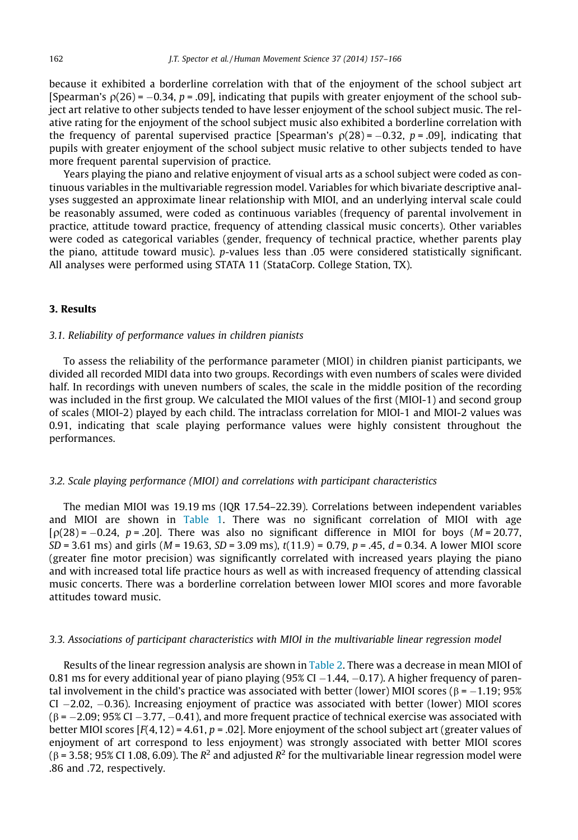because it exhibited a borderline correlation with that of the enjoyment of the school subject art [Spearman's  $p(26) = -0.34$ ,  $p = .09$ ], indicating that pupils with greater enjoyment of the school subject art relative to other subjects tended to have lesser enjoyment of the school subject music. The relative rating for the enjoyment of the school subject music also exhibited a borderline correlation with the frequency of parental supervised practice [Spearman's  $\rho(28)$  = -0.32, p = .09], indicating that pupils with greater enjoyment of the school subject music relative to other subjects tended to have more frequent parental supervision of practice.

Years playing the piano and relative enjoyment of visual arts as a school subject were coded as continuous variables in the multivariable regression model. Variables for which bivariate descriptive analyses suggested an approximate linear relationship with MIOI, and an underlying interval scale could be reasonably assumed, were coded as continuous variables (frequency of parental involvement in practice, attitude toward practice, frequency of attending classical music concerts). Other variables were coded as categorical variables (gender, frequency of technical practice, whether parents play the piano, attitude toward music). p-values less than .05 were considered statistically significant. All analyses were performed using STATA 11 (StataCorp. College Station, TX).

### 3. Results

# 3.1. Reliability of performance values in children pianists

To assess the reliability of the performance parameter (MIOI) in children pianist participants, we divided all recorded MIDI data into two groups. Recordings with even numbers of scales were divided half. In recordings with uneven numbers of scales, the scale in the middle position of the recording was included in the first group. We calculated the MIOI values of the first (MIOI-1) and second group of scales (MIOI-2) played by each child. The intraclass correlation for MIOI-1 and MIOI-2 values was 0.91, indicating that scale playing performance values were highly consistent throughout the performances.

#### 3.2. Scale playing performance (MIOI) and correlations with participant characteristics

The median MIOI was 19.19 ms (IQR 17.54–22.39). Correlations between independent variables and MIOI are shown in [Table 1](#page-3-0). There was no significant correlation of MIOI with age  $[p(28) = -0.24, p = .20]$ . There was also no significant difference in MIOI for boys (*M* = 20.77,  $SD = 3.61$  ms) and girls (M = 19.63,  $SD = 3.09$  ms),  $t(11.9) = 0.79$ ,  $p = .45$ ,  $d = 0.34$ . A lower MIOI score (greater fine motor precision) was significantly correlated with increased years playing the piano and with increased total life practice hours as well as with increased frequency of attending classical music concerts. There was a borderline correlation between lower MIOI scores and more favorable attitudes toward music.

#### 3.3. Associations of participant characteristics with MIOI in the multivariable linear regression model

Results of the linear regression analysis are shown in [Table 2.](#page-6-0) There was a decrease in mean MIOI of 0.81 ms for every additional year of piano playing (95% CI  $-$ 1.44,  $-$ 0.17). A higher frequency of parental involvement in the child's practice was associated with better (lower) MIOI scores (β =  $-1.19$ ; 95% CI –2.02, –0.36). Increasing enjoyment of practice was associated with better (lower) MIOI scores ( $\beta$  =  $-2.09$ ; 95% CI  $-3.77,$   $-0.41$  ), and more frequent practice of technical exercise was associated with better MIOI scores  $[F(4,12) = 4.61, p = .02]$ . More enjoyment of the school subject art (greater values of enjoyment of art correspond to less enjoyment) was strongly associated with better MIOI scores  $(\beta = 3.58; 95\%$  CI 1.08, 6.09). The  $R^2$  and adjusted  $R^2$  for the multivariable linear regression model were .86 and .72, respectively.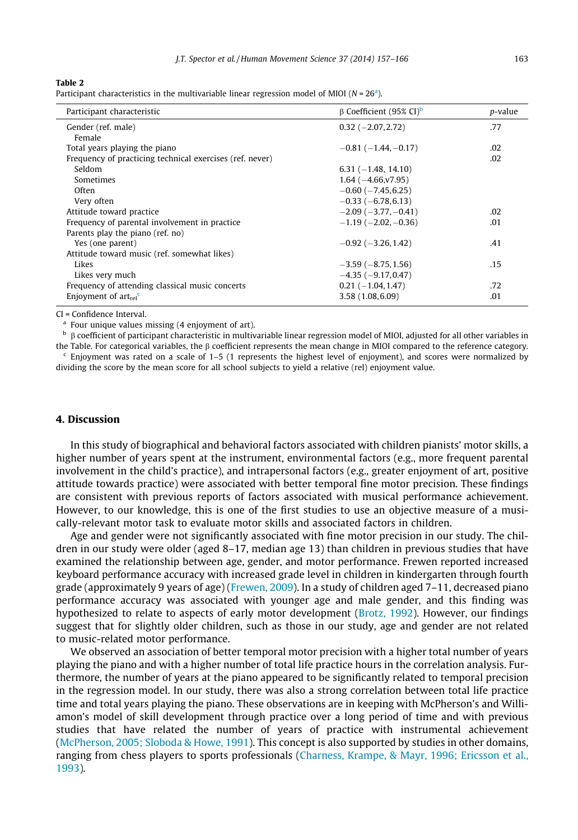#### <span id="page-6-0"></span>Table 2

Participant characteristics in the multivariable linear regression model of MIOI ( $N = 26<sup>a</sup>$ ).

| Participant characteristic                               | $\beta$ Coefficient (95% CI) <sup>b</sup> | p-value |
|----------------------------------------------------------|-------------------------------------------|---------|
| Gender (ref. male)                                       | $0.32 (-2.07, 2.72)$                      | .77     |
| Female                                                   |                                           |         |
| Total years playing the piano                            | $-0.81(-1.44,-0.17)$                      | .02     |
| Frequency of practicing technical exercises (ref. never) |                                           | .02     |
| Seldom                                                   | $6.31 (-1.48, 14.10)$                     |         |
| Sometimes                                                | $1.64 (-4.66 \text{,} v7.95)$             |         |
| Often                                                    | $-0.60$ ( $-7.45, 6.25$ )                 |         |
| Very often                                               | $-0.33(-6.78, 6.13)$                      |         |
| Attitude toward practice                                 | $-2.09$ ( $-3.77$ , $-0.41$ )             | .02     |
| Frequency of parental involvement in practice            | $-1.19(-2.02,-0.36)$                      | .01     |
| Parents play the piano (ref. no)                         |                                           |         |
| Yes (one parent)                                         | $-0.92$ ( $-3.26, 1.42$ )                 | .41     |
| Attitude toward music (ref. somewhat likes)              |                                           |         |
| Likes                                                    | $-3.59(-8.75, 1.56)$                      | .15     |
| Likes very much                                          | $-4.35(-9.17, 0.47)$                      |         |
| Frequency of attending classical music concerts          | $0.21(-1.04, 1.47)$                       | .72     |
| Enjoyment of $arct_{rel}^c$                              | 3.58 (1.08, 6.09)                         | .01     |

CI = Confidence Interval.

<sup>a</sup> Four unique values missing (4 enjoyment of art).

 $b$  B coefficient of participant characteristic in multivariable linear regression model of MIOI, adjusted for all other variables in

the Table. For categorical variables, the  $\beta$  coefficient represents the mean change in MIOI compared to the reference category. <sup>c</sup> Enjoyment was rated on a scale of 1–5 (1 represents the highest level of enjoyment), and scores were normalized by dividing the score by the mean score for all school subjects to yield a relative (rel) enjoyment value.

# 4. Discussion

In this study of biographical and behavioral factors associated with children pianists' motor skills, a higher number of years spent at the instrument, environmental factors (e.g., more frequent parental involvement in the child's practice), and intrapersonal factors (e.g., greater enjoyment of art, positive attitude towards practice) were associated with better temporal fine motor precision. These findings are consistent with previous reports of factors associated with musical performance achievement. However, to our knowledge, this is one of the first studies to use an objective measure of a musically-relevant motor task to evaluate motor skills and associated factors in children.

Age and gender were not significantly associated with fine motor precision in our study. The children in our study were older (aged 8–17, median age 13) than children in previous studies that have examined the relationship between age, gender, and motor performance. Frewen reported increased keyboard performance accuracy with increased grade level in children in kindergarten through fourth grade (approximately 9 years of age) ([Frewen, 2009](#page-8-0)). In a study of children aged 7–11, decreased piano performance accuracy was associated with younger age and male gender, and this finding was hypothesized to relate to aspects of early motor development [\(Brotz, 1992\)](#page-8-0). However, our findings suggest that for slightly older children, such as those in our study, age and gender are not related to music-related motor performance.

We observed an association of better temporal motor precision with a higher total number of years playing the piano and with a higher number of total life practice hours in the correlation analysis. Furthermore, the number of years at the piano appeared to be significantly related to temporal precision in the regression model. In our study, there was also a strong correlation between total life practice time and total years playing the piano. These observations are in keeping with McPherson's and Williamon's model of skill development through practice over a long period of time and with previous studies that have related the number of years of practice with instrumental achievement [\(McPherson, 2005; Sloboda & Howe, 1991\)](#page-9-0). This concept is also supported by studies in other domains, ranging from chess players to sports professionals ([Charness, Krampe, & Mayr, 1996; Ericsson et al.,](#page-8-0) [1993](#page-8-0)).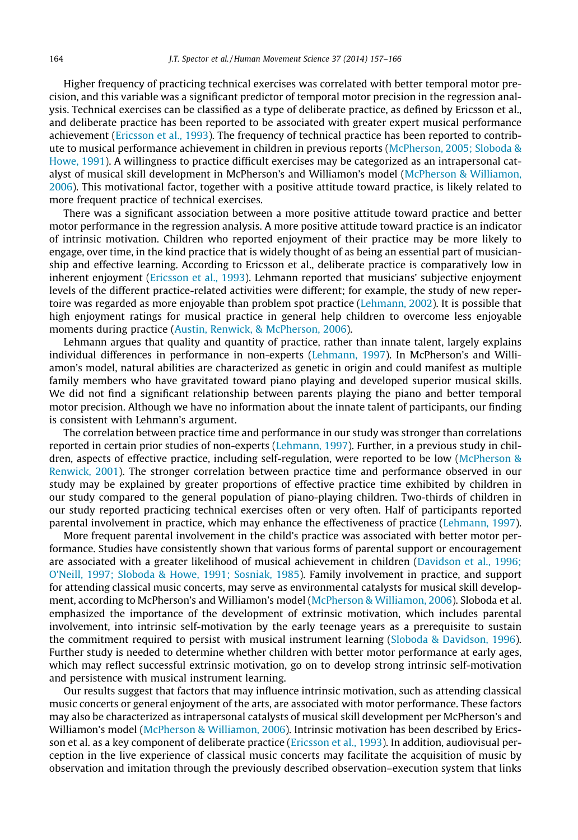Higher frequency of practicing technical exercises was correlated with better temporal motor precision, and this variable was a significant predictor of temporal motor precision in the regression analysis. Technical exercises can be classified as a type of deliberate practice, as defined by Ericsson et al., and deliberate practice has been reported to be associated with greater expert musical performance achievement ([Ericsson et al., 1993\)](#page-8-0). The frequency of technical practice has been reported to contribute to musical performance achievement in children in previous reports [\(McPherson, 2005; Sloboda &](#page-9-0) [Howe, 1991](#page-9-0)). A willingness to practice difficult exercises may be categorized as an intrapersonal catalyst of musical skill development in McPherson's and Williamon's model ([McPherson & Williamon,](#page-9-0) [2006\)](#page-9-0). This motivational factor, together with a positive attitude toward practice, is likely related to more frequent practice of technical exercises.

There was a significant association between a more positive attitude toward practice and better motor performance in the regression analysis. A more positive attitude toward practice is an indicator of intrinsic motivation. Children who reported enjoyment of their practice may be more likely to engage, over time, in the kind practice that is widely thought of as being an essential part of musicianship and effective learning. According to Ericsson et al., deliberate practice is comparatively low in inherent enjoyment ([Ericsson et al., 1993](#page-8-0)). Lehmann reported that musicians' subjective enjoyment levels of the different practice-related activities were different; for example, the study of new repertoire was regarded as more enjoyable than problem spot practice [\(Lehmann, 2002](#page-9-0)). It is possible that high enjoyment ratings for musical practice in general help children to overcome less enjoyable moments during practice [\(Austin, Renwick, & McPherson, 2006\)](#page-8-0).

Lehmann argues that quality and quantity of practice, rather than innate talent, largely explains individual differences in performance in non-experts ([Lehmann, 1997](#page-9-0)). In McPherson's and Williamon's model, natural abilities are characterized as genetic in origin and could manifest as multiple family members who have gravitated toward piano playing and developed superior musical skills. We did not find a significant relationship between parents playing the piano and better temporal motor precision. Although we have no information about the innate talent of participants, our finding is consistent with Lehmann's argument.

The correlation between practice time and performance in our study was stronger than correlations reported in certain prior studies of non-experts ([Lehmann, 1997\)](#page-9-0). Further, in a previous study in children, aspects of effective practice, including self-regulation, were reported to be low ([McPherson &](#page-9-0) [Renwick, 2001](#page-9-0)). The stronger correlation between practice time and performance observed in our study may be explained by greater proportions of effective practice time exhibited by children in our study compared to the general population of piano-playing children. Two-thirds of children in our study reported practicing technical exercises often or very often. Half of participants reported parental involvement in practice, which may enhance the effectiveness of practice ([Lehmann, 1997](#page-9-0)).

More frequent parental involvement in the child's practice was associated with better motor performance. Studies have consistently shown that various forms of parental support or encouragement are associated with a greater likelihood of musical achievement in children [\(Davidson et al., 1996;](#page-8-0) [O'Neill, 1997; Sloboda & Howe, 1991; Sosniak, 1985\)](#page-8-0). Family involvement in practice, and support for attending classical music concerts, may serve as environmental catalysts for musical skill development, according to McPherson's and Williamon's model [\(McPherson & Williamon, 2006](#page-9-0)). Sloboda et al. emphasized the importance of the development of extrinsic motivation, which includes parental involvement, into intrinsic self-motivation by the early teenage years as a prerequisite to sustain the commitment required to persist with musical instrument learning ([Sloboda & Davidson, 1996](#page-9-0)). Further study is needed to determine whether children with better motor performance at early ages, which may reflect successful extrinsic motivation, go on to develop strong intrinsic self-motivation and persistence with musical instrument learning.

Our results suggest that factors that may influence intrinsic motivation, such as attending classical music concerts or general enjoyment of the arts, are associated with motor performance. These factors may also be characterized as intrapersonal catalysts of musical skill development per McPherson's and Williamon's model [\(McPherson & Williamon, 2006](#page-9-0)). Intrinsic motivation has been described by Ericsson et al. as a key component of deliberate practice ([Ericsson et al., 1993\)](#page-8-0). In addition, audiovisual perception in the live experience of classical music concerts may facilitate the acquisition of music by observation and imitation through the previously described observation–execution system that links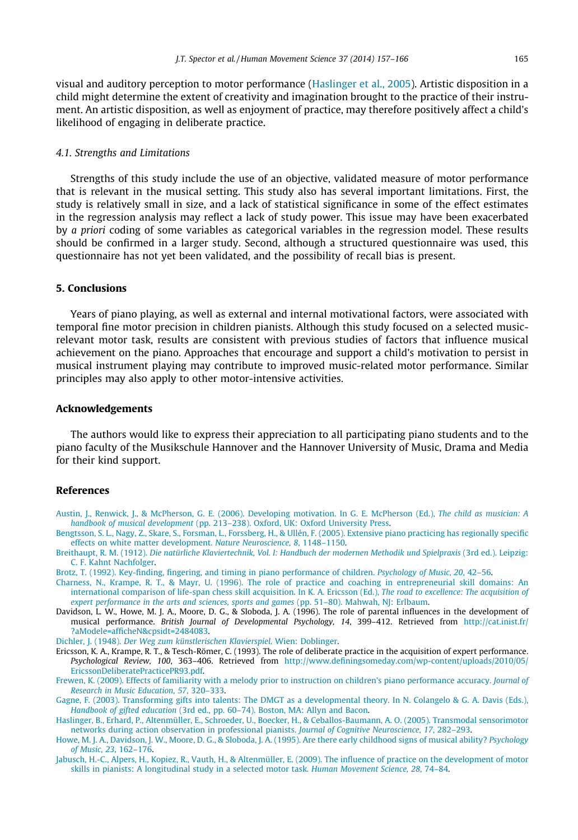<span id="page-8-0"></span>visual and auditory perception to motor performance (Haslinger et al., 2005). Artistic disposition in a child might determine the extent of creativity and imagination brought to the practice of their instrument. An artistic disposition, as well as enjoyment of practice, may therefore positively affect a child's likelihood of engaging in deliberate practice.

#### 4.1. Strengths and Limitations

Strengths of this study include the use of an objective, validated measure of motor performance that is relevant in the musical setting. This study also has several important limitations. First, the study is relatively small in size, and a lack of statistical significance in some of the effect estimates in the regression analysis may reflect a lack of study power. This issue may have been exacerbated by a priori coding of some variables as categorical variables in the regression model. These results should be confirmed in a larger study. Second, although a structured questionnaire was used, this questionnaire has not yet been validated, and the possibility of recall bias is present.

#### 5. Conclusions

Years of piano playing, as well as external and internal motivational factors, were associated with temporal fine motor precision in children pianists. Although this study focused on a selected musicrelevant motor task, results are consistent with previous studies of factors that influence musical achievement on the piano. Approaches that encourage and support a child's motivation to persist in musical instrument playing may contribute to improved music-related motor performance. Similar principles may also apply to other motor-intensive activities.

#### Acknowledgements

The authors would like to express their appreciation to all participating piano students and to the piano faculty of the Musikschule Hannover and the Hannover University of Music, Drama and Media for their kind support.

#### References

- [Austin, J., Renwick, J., & McPherson, G. E. \(2006\). Developing motivation. In G. E. McPherson \(Ed.\),](http://refhub.elsevier.com/S0167-9457(14)00100-6/h0005) The child as musician: A handbook of musical development [\(pp. 213–238\). Oxford, UK: Oxford University Press](http://refhub.elsevier.com/S0167-9457(14)00100-6/h0005).
- [Bengtsson, S. L., Nagy, Z., Skare, S., Forsman, L., Forssberg, H., & Ullén, F. \(2005\). Extensive piano practicing has regionally specific](http://refhub.elsevier.com/S0167-9457(14)00100-6/h0010) [effects on white matter development.](http://refhub.elsevier.com/S0167-9457(14)00100-6/h0010) Nature Neuroscience, 8, 1148–1150.
- Breithaupt, R. M. (1912). [Die natürliche Klaviertechnik, Vol. I: Handbuch der modernen Methodik und Spielpraxis](http://refhub.elsevier.com/S0167-9457(14)00100-6/h0180) (3rd ed.). Leipzig: [C. F. Kahnt Nachfolger.](http://refhub.elsevier.com/S0167-9457(14)00100-6/h0180)
- [Brotz, T. \(1992\). Key-finding, fingering, and timing in piano performance of children.](http://refhub.elsevier.com/S0167-9457(14)00100-6/h0020) Psychology of Music, 20, 42–56.
- [Charness, N., Krampe, R. T., & Mayr, U. \(1996\). The role of practice and coaching in entrepreneurial skill domains: An](http://refhub.elsevier.com/S0167-9457(14)00100-6/h0025) [international comparison of life-span chess skill acquisition. In K. A. Ericsson \(Ed.\),](http://refhub.elsevier.com/S0167-9457(14)00100-6/h0025) The road to excellence: The acquisition of [expert performance in the arts and sciences, sports and games](http://refhub.elsevier.com/S0167-9457(14)00100-6/h0025) (pp. 51–80). Mahwah, NJ: Erlbaum.
- Davidson, L. W., Howe, M. J. A., Moore, D. G., & Sloboda, J. A. (1996). The role of parental influences in the development of musical performance. British Journal of Developmental Psychology, 14, 399–412. Retrieved from [http://cat.inist.fr/](http://cat.inist.fr/?aModele=afficheN%26cpsidt=2484083) [?aModele=afficheN&cpsidt=2484083](http://cat.inist.fr/?aModele=afficheN%26cpsidt=2484083).

Dichler, J. (1948). [Der Weg zum künstlerischen Klavierspiel](http://refhub.elsevier.com/S0167-9457(14)00100-6/h0035). Wien: Doblinger.

- Ericsson, K. A., Krampe, R. T., & Tesch-Römer, C. (1993). The role of deliberate practice in the acquisition of expert performance. Psychological Review, 100, 363–406. Retrieved from [http://www.definingsomeday.com/wp-content/uploads/2010/05/](http://www.definingsomeday.com/wp-content/uploads/2010/05/EricssonDeliberatePracticePR93.pdf) [EricssonDeliberatePracticePR93.pdf](http://www.definingsomeday.com/wp-content/uploads/2010/05/EricssonDeliberatePracticePR93.pdf).
- [Frewen, K. \(2009\). Effects of familiarity with a melody prior to instruction on children's piano performance accuracy.](http://refhub.elsevier.com/S0167-9457(14)00100-6/h0045) Journal of [Research in Music Education, 57](http://refhub.elsevier.com/S0167-9457(14)00100-6/h0045), 320–333.
- [Gagne, F. \(2003\). Transforming gifts into talents: The DMGT as a developmental theory. In N. Colangelo & G. A. Davis \(Eds.\),](http://refhub.elsevier.com/S0167-9457(14)00100-6/h0050) Handbook of gifted education [\(3rd ed., pp. 60–74\). Boston, MA: Allyn and Bacon.](http://refhub.elsevier.com/S0167-9457(14)00100-6/h0050)
- [Haslinger, B., Erhard, P., Altenmüller, E., Schroeder, U., Boecker, H., & Ceballos-Baumann, A. O. \(2005\). Transmodal sensorimotor](http://refhub.elsevier.com/S0167-9457(14)00100-6/h0055) [networks during action observation in professional pianists.](http://refhub.elsevier.com/S0167-9457(14)00100-6/h0055) Journal of Cognitive Neuroscience, 17, 282–293.
- [Howe, M. J. A., Davidson, J. W., Moore, D. G., & Sloboda, J. A. \(1995\). Are there early childhood signs of musical ability?](http://refhub.elsevier.com/S0167-9457(14)00100-6/h0060) Psychology [of Music, 23](http://refhub.elsevier.com/S0167-9457(14)00100-6/h0060), 162–176.
- [Jabusch, H.-C., Alpers, H., Kopiez, R., Vauth, H., & Altenmüller, E. \(2009\). The influence of practice on the development of motor](http://refhub.elsevier.com/S0167-9457(14)00100-6/h0070) [skills in pianists: A longitudinal study in a selected motor task.](http://refhub.elsevier.com/S0167-9457(14)00100-6/h0070) Human Movement Science, 28, 74–84.